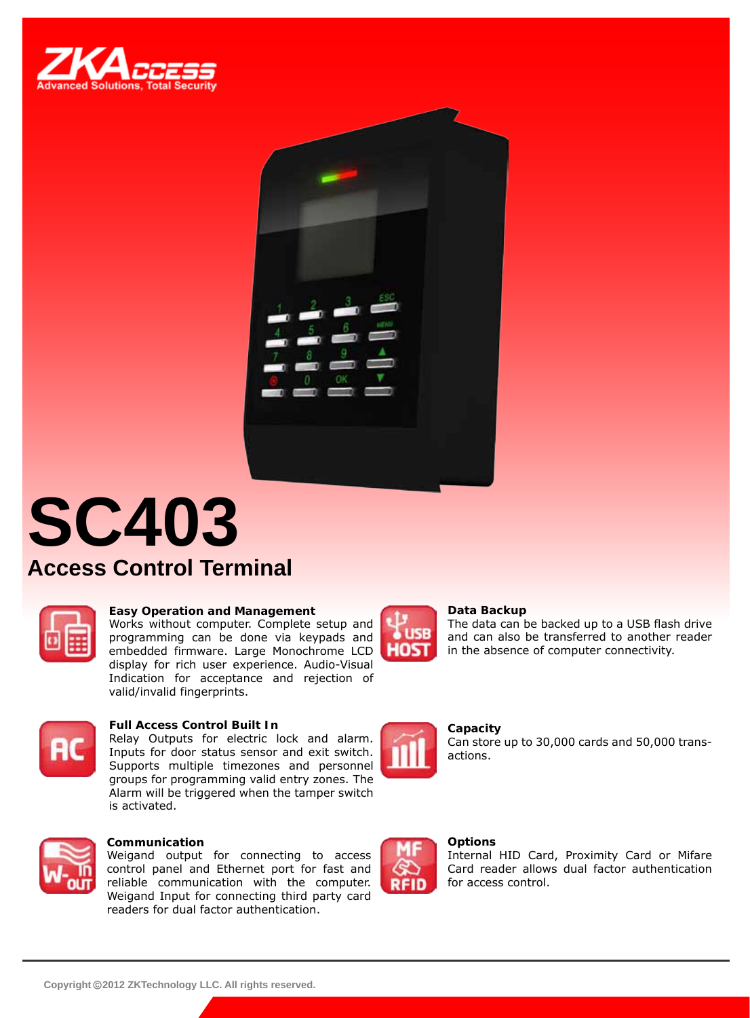



# **SC403 Access Control Terminal**



### **Easy Operation and Management**

Works without computer. Complete setup and programming can be done via keypads and embedded firmware. Large Monochrome LCD display for rich user experience. Audio-Visual Indication for acceptance and rejection of valid/invalid fingerprints.



### **Full Access Control Built In**

Relay Outputs for electric lock and alarm. Inputs for door status sensor and exit switch. Supports multiple timezones and personnel groups for programming valid entry zones. The Alarm will be triggered when the tamper switch is activated.



### **Communication**

Weigand output for connecting to access control panel and Ethernet port for fast and reliable communication with the computer. Weigand Input for connecting third party card readers for dual factor authentication.



### **Data Backup**

The data can be backed up to a USB flash drive and can also be transferred to another reader in the absence of computer connectivity.



**RFID** 

**Capacity** Can store up to 30,000 cards and 50,000 transactions.

#### **Options**

Internal HID Card, Proximity Card or Mifare Card reader allows dual factor authentication for access control.